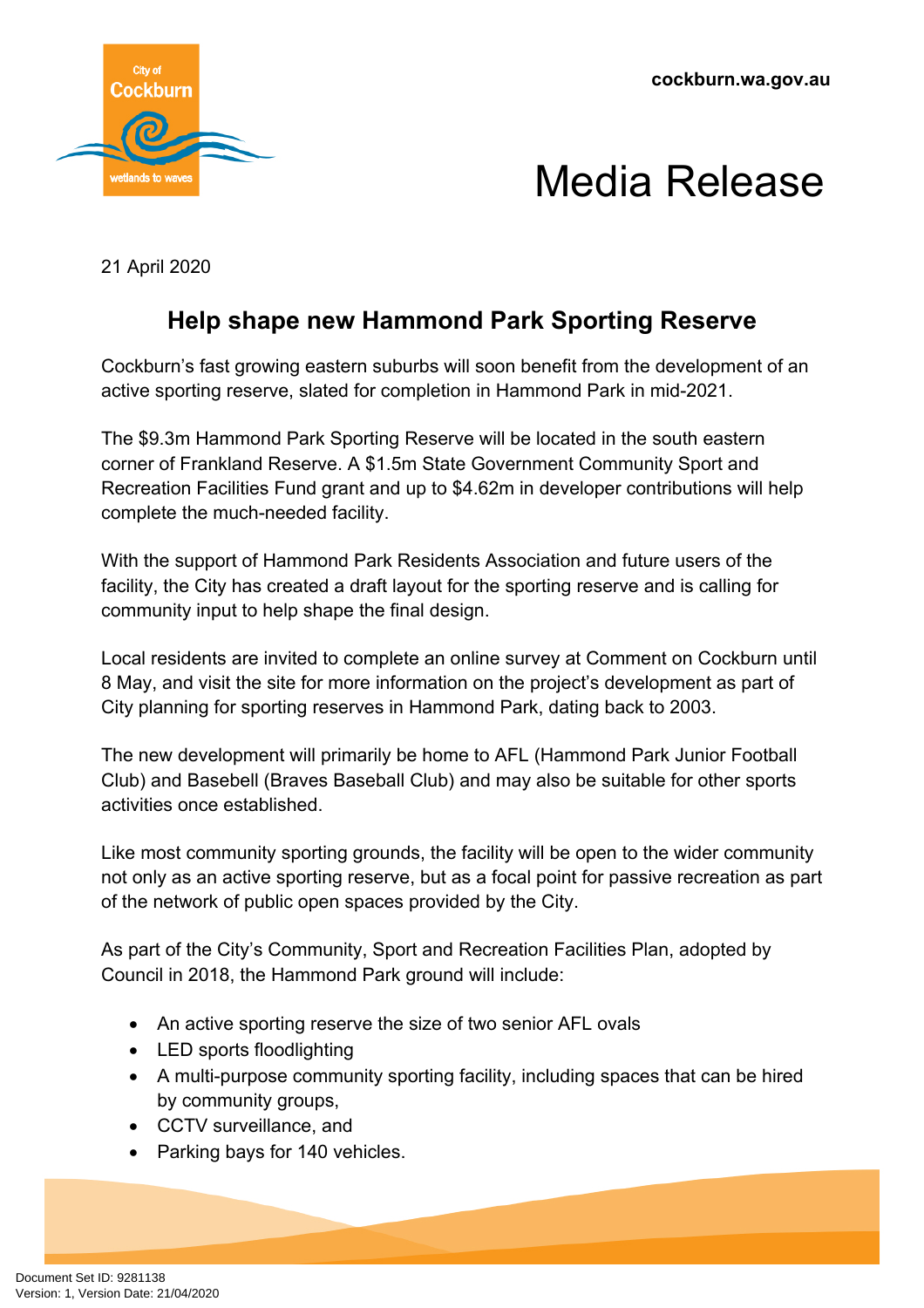

## Media Release

21 April 2020

## **Help shape new Hammond Park Sporting Reserve**

Cockburn's fast growing eastern suburbs will soon benefit from the development of an active sporting reserve, slated for completion in Hammond Park in mid-2021.

The \$9.3m Hammond Park Sporting Reserve will be located in the south eastern corner of Frankland Reserve. A \$1.5m State Government Community Sport and Recreation Facilities Fund grant and up to \$4.62m in developer contributions will help complete the much-needed facility.

With the support of Hammond Park Residents Association and future users of the facility, the City has created a draft layout for the sporting reserve and is calling for community input to help shape the final design.

Local residents are invited to complete an online survey at Comment on Cockburn until 8 May, and visit the site for more information on the project's development as part of City planning for sporting reserves in Hammond Park, dating back to 2003.

The new development will primarily be home to AFL (Hammond Park Junior Football Club) and Basebell (Braves Baseball Club) and may also be suitable for other sports activities once established.

Like most community sporting grounds, the facility will be open to the wider community not only as an active sporting reserve, but as a focal point for passive recreation as part of the network of public open spaces provided by the City.

As part of the City's Community, Sport and Recreation Facilities Plan, adopted by Council in 2018, the Hammond Park ground will include:

- An active sporting reserve the size of two senior AFL ovals
- LED sports floodlighting
- A multi-purpose community sporting facility, including spaces that can be hired by community groups,
- CCTV surveillance, and
- Parking bays for 140 vehicles.